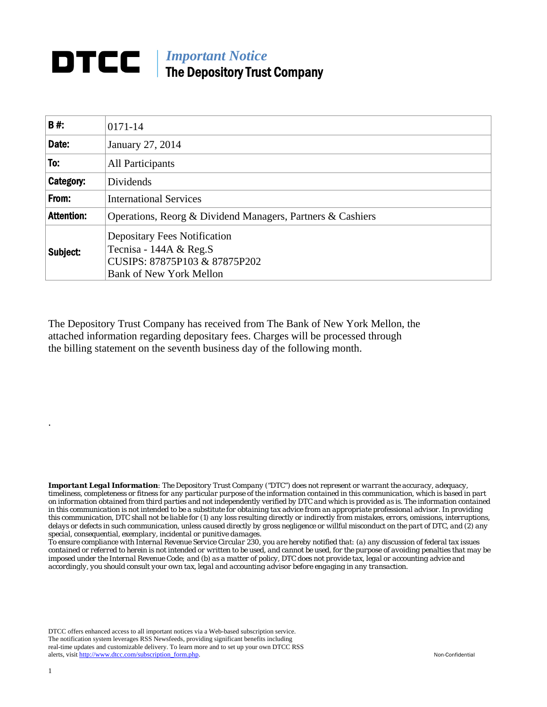## **DTCC** | *Important Notice* The Depository Trust Company

| B#:               | 0171-14                                                                                                                            |
|-------------------|------------------------------------------------------------------------------------------------------------------------------------|
| Date:             | January 27, 2014                                                                                                                   |
| To:               | All Participants                                                                                                                   |
| Category:         | Dividends                                                                                                                          |
| From:             | <b>International Services</b>                                                                                                      |
| <b>Attention:</b> | Operations, Reorg & Dividend Managers, Partners & Cashiers                                                                         |
| Subject:          | <b>Depositary Fees Notification</b><br>Tecnisa - 144A $&$ Reg.S<br>CUSIPS: 87875P103 & 87875P202<br><b>Bank of New York Mellon</b> |

The Depository Trust Company has received from The Bank of New York Mellon, the attached information regarding depositary fees. Charges will be processed through the billing statement on the seventh business day of the following month.

*Important Legal Information: The Depository Trust Company ("DTC") does not represent or warrant the accuracy, adequacy, timeliness, completeness or fitness for any particular purpose of the information contained in this communication, which is based in part on information obtained from third parties and not independently verified by DTC and which is provided as is. The information contained in this communication is not intended to be a substitute for obtaining tax advice from an appropriate professional advisor. In providing this communication, DTC shall not be liable for (1) any loss resulting directly or indirectly from mistakes, errors, omissions, interruptions, delays or defects in such communication, unless caused directly by gross negligence or willful misconduct on the part of DTC, and (2) any special, consequential, exemplary, incidental or punitive damages.* 

*To ensure compliance with Internal Revenue Service Circular 230, you are hereby notified that: (a) any discussion of federal tax issues contained or referred to herein is not intended or written to be used, and cannot be used, for the purpose of avoiding penalties that may be imposed under the Internal Revenue Code; and (b) as a matter of policy, DTC does not provide tax, legal or accounting advice and accordingly, you should consult your own tax, legal and accounting advisor before engaging in any transaction.*

DTCC offers enhanced access to all important notices via a Web-based subscription service. The notification system leverages RSS Newsfeeds, providing significant benefits including real-time updates and customizable delivery. To learn more and to set up your own DTCC RSS alerts, visit http://www.dtcc.com/subscription\_form.php. Non-Confidential

.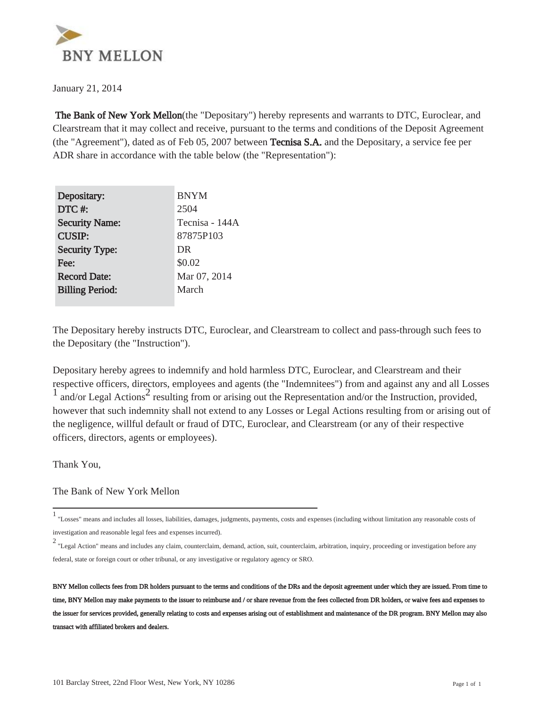

January 21, 2014

 The Bank of New York Mellon(the "Depositary") hereby represents and warrants to DTC, Euroclear, and Clearstream that it may collect and receive, pursuant to the terms and conditions of the Deposit Agreement (the "Agreement"), dated as of Feb 05, 2007 between Tecnisa S.A. and the Depositary, a service fee per ADR share in accordance with the table below (the "Representation"):

| Depositary:            | <b>BNYM</b>    |
|------------------------|----------------|
| DTC#:                  | 2504           |
| <b>Security Name:</b>  | Tecnisa - 144A |
| <b>CUSIP:</b>          | 87875P103      |
| <b>Security Type:</b>  | DR             |
| Fee:                   | \$0.02         |
| <b>Record Date:</b>    | Mar 07, 2014   |
| <b>Billing Period:</b> | March          |
|                        |                |

The Depositary hereby instructs DTC, Euroclear, and Clearstream to collect and pass-through such fees to the Depositary (the "Instruction").

Depositary hereby agrees to indemnify and hold harmless DTC, Euroclear, and Clearstream and their respective officers, directors, employees and agents (the "Indemnitees") from and against any and all Losses  $\frac{1}{1}$  and/or Legal Actions<sup>2</sup> resulting from or arising out the Representation and/or the Instruction, provided, however that such indemnity shall not extend to any Losses or Legal Actions resulting from or arising out of the negligence, willful default or fraud of DTC, Euroclear, and Clearstream (or any of their respective officers, directors, agents or employees).

Thank You,

The Bank of New York Mellon

<sup>1</sup> "Losses" means and includes all losses, liabilities, damages, judgments, payments, costs and expenses (including without limitation any reasonable costs of investigation and reasonable legal fees and expenses incurred).

<sup>2</sup> "Legal Action" means and includes any claim, counterclaim, demand, action, suit, counterclaim, arbitration, inquiry, proceeding or investigation before any federal, state or foreign court or other tribunal, or any investigative or regulatory agency or SRO.

BNY Mellon collects fees from DR holders pursuant to the terms and conditions of the DRs and the deposit agreement under which they are issued. From time to time, BNY Mellon may make payments to the issuer to reimburse and / or share revenue from the fees collected from DR holders, or waive fees and expenses to the issuer for services provided, generally relating to costs and expenses arising out of establishment and maintenance of the DR program. BNY Mellon may also transact with affiliated brokers and dealers.